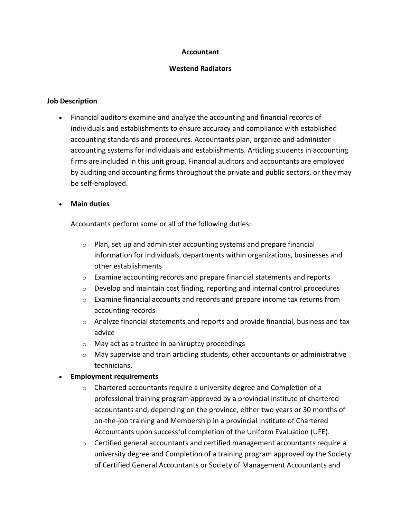# **Accountant**

# **Westend Radiators**

# **Job Description**

• Financial auditors examine and analyze the accounting and financial records of individuals and establishments to ensure accuracy and compliance with established accounting standards and procedures. Accountants plan, organize and administer accounting systems for individuals and establishments. Articling students in accounting firms are included in this unit group. Financial auditors and accountants are employed by auditing and accounting firms throughout the private and public sectors, or they may be self-employed.

# • **Main duties**

Accountants perform some or all of the following duties:

- $\circ$  Plan, set up and administer accounting systems and prepare financial information for individuals, departments within organizations, businesses and other establishments
- o Examine accounting records and prepare financial statements and reports
- $\circ$  Develop and maintain cost finding, reporting and internal control procedures
- $\circ$  Examine financial accounts and records and prepare income tax returns from accounting records
- $\circ$  Analyze financial statements and reports and provide financial, business and tax advice
- o May act as a trustee in bankruptcy proceedings
- $\circ$  May supervise and train articling students, other accountants or administrative technicians.

# • **Employment requirements**

- $\circ$  Chartered accountants require a university degree and Completion of a professional training program approved by a provincial institute of chartered accountants and, depending on the province, either two years or 30 months of on-the-job training and Membership in a provincial Institute of Chartered Accountants upon successful completion of the Uniform Evaluation (UFE).
- o Certified general accountants and certified management accountants require a university degree and Completion of a training program approved by the Society of Certified General Accountants or Society of Management Accountants and